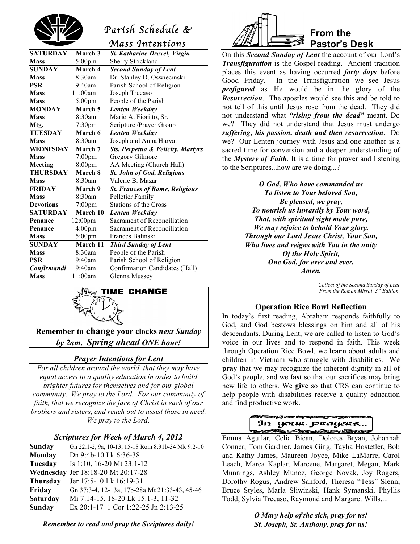

# *Parish Schedule &*

|                  |                    | Mass Intentíons                              |  |
|------------------|--------------------|----------------------------------------------|--|
| <b>SATURDAY</b>  | March 3            | <b>St. Katharine Drexel, Virgin</b>          |  |
| <b>Mass</b>      | $5:00$ pm          | <b>Sherry Strickland</b>                     |  |
| <b>SUNDAY</b>    | March 4            | <b>Second Sunday of Lent</b>                 |  |
| <b>Mass</b>      | 8:30am             | Dr. Stanley D. Oswiecinski                   |  |
| <b>PSR</b>       | $9:40$ am          | Parish School of Religion                    |  |
| <b>Mass</b>      | 11:00am            | Joseph Trecaso                               |  |
| <b>Mass</b>      | $5:00$ pm          | People of the Parish                         |  |
| <b>MONDAY</b>    | March 5            | Lenten Weekday                               |  |
| <b>Mass</b>      | 8:30am             | Mario A. Fioritto, Sr.                       |  |
| Mtg.             | 7:30 <sub>pm</sub> | Scripture /Prayer Group                      |  |
| <b>TUESDAY</b>   | March 6            | Lenten Weekday                               |  |
| <b>Mass</b>      | 8:30am             | Joseph and Anna Harvat                       |  |
| <b>WEDNESDAY</b> | March 7            | <b>Sts. Perpetua &amp; Felicity, Martyrs</b> |  |
| <b>Mass</b>      | $7:00 \text{pm}$   | Gregory Gilmore                              |  |
| <b>Meeting</b>   | 8:00pm             | AA Meeting (Church Hall)                     |  |
| <b>THURSDAY</b>  | March 8            | <b>St. John of God, Religious</b>            |  |
| <b>Mass</b>      | 8:30am             | Valerie B. Mazar                             |  |
| <b>FRIDAY</b>    | March 9            | <b>St. Frances of Rome, Religious</b>        |  |
| <b>Mass</b>      | 8:30am             | Pelletier Family                             |  |
| <b>Devotions</b> | 7:00pm             | <b>Stations of the Cross</b>                 |  |
| <b>SATURDAY</b>  | March 10           | Lenten Weekday                               |  |
| Penance          | 12:00pm            | Sacrament of Reconciliation                  |  |
| Penance          | 4:00 <sub>pm</sub> | Sacrament of Reconciliation                  |  |
| <b>Mass</b>      | $5:00$ pm          | Frances Balinski                             |  |
| <b>SUNDAY</b>    | March 11           | <b>Third Sunday of Lent</b>                  |  |
| <b>Mass</b>      | 8:30am             | People of the Parish                         |  |
| <b>PSR</b>       | $9:40$ am          | Parish School of Religion                    |  |
| Confirmandi      | 9:40am             | Confirmation Candidates (Hall)               |  |
| <b>Mass</b>      | 11:00am            | Glenna Mussey                                |  |
|                  |                    |                                              |  |



**Remember to change your clocks** *next Sunday by 2am***.** *Spring ahead ONE hour!*

# *Prayer Intentions for Lent*

*For all children around the world, that they may have equal access to a quality education in order to build brighter futures for themselves and for our global community. We pray to the Lord. For our community of faith, that we recognize the face of Christ in each of our brothers and sisters, and reach out to assist those in need. We pray to the Lord.*

# *Scriptures for Week of March 4, 2012*

| Sunday          | Gn 22:1-2, 9a, 10-13, 15-18 Rom 8:31b-34 Mk 9:2-10 |
|-----------------|----------------------------------------------------|
| Monday          | Dn 9:4b-10 Lk 6:36-38                              |
| Tuesday         | Is 1:10, 16-20 Mt $23:1-12$                        |
|                 | Wednesday Jer 18:18-20 Mt 20:17-28                 |
| <b>Thursday</b> | Jer 17:5-10 Lk 16:19-31                            |
| Friday          | Gn 37:3-4, 12-13a, 17b-28a Mt 21:33-43, 45-46      |
| <b>Saturday</b> | Mi 7:14-15, 18-20 Lk 15:1-3, 11-32                 |
| Sunday          | Ex 20:1-17 1 Cor 1:22-25 Jn 2:13-25                |
|                 |                                                    |

*Remember to read and pray the Scriptures daily!*



On this *Second Sunday of Lent* the account of our Lord's *Transfiguration* is the Gospel reading. Ancient tradition places this event as having occurred *forty days* before Good Friday. In the Transfiguration we see Jesus *prefigured* as He would be in the glory of the *Resurrection*. The apostles would see this and be told to not tell of this until Jesus rose from the dead. They did not understand what *"rising from the dead"* meant. Do we? They did not understand that Jesus must undergo *suffering, his passion, death and then resurrection*. Do we? Our Lenten journey with Jesus and one another is a sacred time for conversion and a deeper understanding of the *Mystery of Faith*. It is a time for prayer and listening to the Scriptures...how are we doing...?

> *O God, Who have commanded us To listen to Your beloved Son, Be pleased, we pray, To nourish us inwardly by Your word, That, with spiritual sight made pure, We may rejoice to behold Your glory. Through our Lord Jesus Christ, Your Son, Who lives and reigns with You in the unity Of the Holy Spirit, One God, for ever and ever. Amen.*

> > *Collect of the Second Sunday of Lent From the Roman Missal, 3rd Edition*

# **Operation Rice Bowl Reflection**

In today's first reading, Abraham responds faithfully to God, and God bestows blessings on him and all of his descendants. During Lent, we are called to listen to God's voice in our lives and to respond in faith. This week through Operation Rice Bowl, we **learn** about adults and children in Vietnam who struggle with disabilities. We **pray** that we may recognize the inherent dignity in all of God's people, and we **fast** so that our sacrifices may bring new life to others. We **give** so that CRS can continue to help people with disabilities receive a quality education and find productive work.



 Emma Aguilar, Celia Bican, Dolores Bryan, Johannah Conner, Tom Gardner, James Ging, Tayha Hostetler, Bob and Kathy James, Maureen Joyce, Mike LaMarre, Carol Leach, Marca Kaplar, Marcene, Margaret, Megan, Mark Munnings, Ashley Munoz, George Novak, Joy Rogers, Dorothy Rogus, Andrew Sanford, Theresa "Tess" Slenn, Bruce Styles, Marla Sliwinski, Hank Symanski, Phyllis Todd, Sylvia Trecaso, Raymond and Margaret Wills....

> *O Mary help of the sick, pray for us! St. Joseph, St. Anthony, pray for us!*